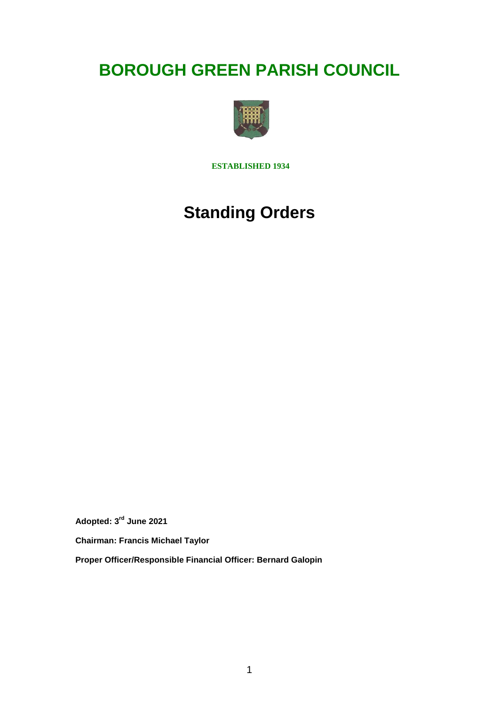# **BOROUGH GREEN PARISH COUNCIL**



**ESTABLISHED 1934**

# **Standing Orders**

**Adopted: 3rd June 2021**

**Chairman: Francis Michael Taylor**

**Proper Officer/Responsible Financial Officer: Bernard Galopin**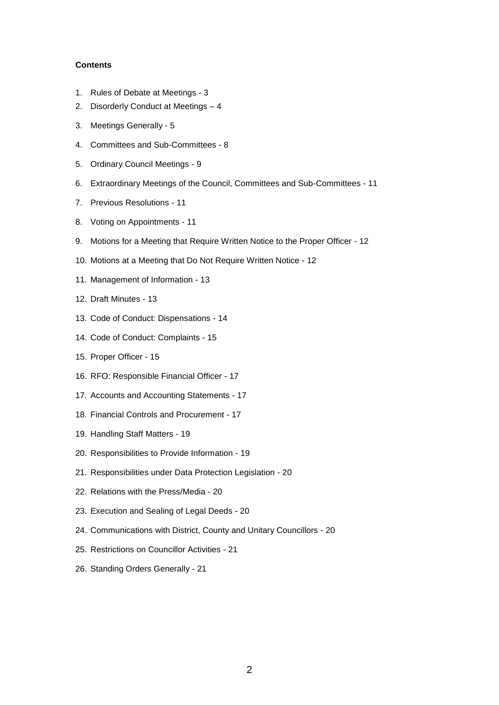#### **Contents**

- 1. Rules of Debate at Meetings 3
- 2. Disorderly Conduct at Meetings 4
- 3. Meetings Generally 5
- 4. Committees and Sub-Committees 8
- 5. Ordinary Council Meetings 9
- 6. Extraordinary Meetings of the Council, Committees and Sub-Committees 11
- 7. Previous Resolutions 11
- 8. Voting on Appointments 11
- 9. Motions for a Meeting that Require Written Notice to the Proper Officer 12
- 10. Motions at a Meeting that Do Not Require Written Notice 12
- 11. Management of Information 13
- 12. Draft Minutes 13
- 13. Code of Conduct: Dispensations 14
- 14. Code of Conduct: Complaints 15
- 15. Proper Officer 15
- 16. RFO: Responsible Financial Officer 17
- 17. Accounts and Accounting Statements 17
- 18. Financial Controls and Procurement 17
- 19. Handling Staff Matters 19
- 20. Responsibilities to Provide Information 19
- 21. Responsibilities under Data Protection Legislation 20
- 22. Relations with the Press/Media 20
- 23. Execution and Sealing of Legal Deeds 20
- 24. Communications with District, County and Unitary Councillors 20
- 25. Restrictions on Councillor Activities 21
- 26. Standing Orders Generally 21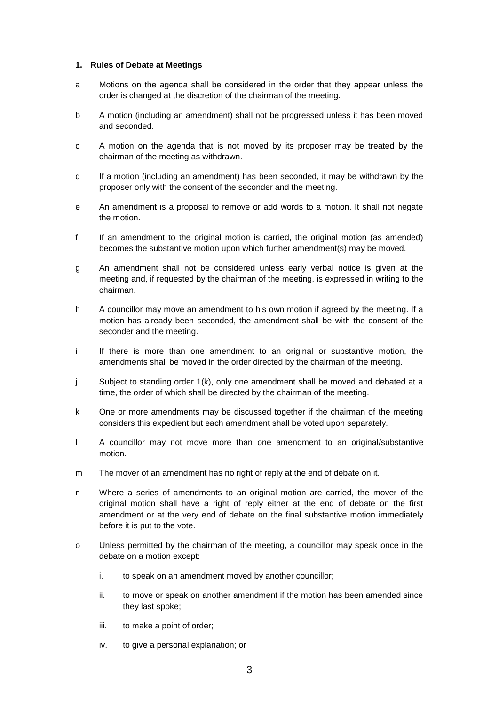#### **1. Rules of Debate at Meetings**

- a Motions on the agenda shall be considered in the order that they appear unless the order is changed at the discretion of the chairman of the meeting.
- b A motion (including an amendment) shall not be progressed unless it has been moved and seconded.
- c A motion on the agenda that is not moved by its proposer may be treated by the chairman of the meeting as withdrawn.
- d If a motion (including an amendment) has been seconded, it may be withdrawn by the proposer only with the consent of the seconder and the meeting.
- e An amendment is a proposal to remove or add words to a motion. It shall not negate the motion.
- f If an amendment to the original motion is carried, the original motion (as amended) becomes the substantive motion upon which further amendment(s) may be moved.
- g An amendment shall not be considered unless early verbal notice is given at the meeting and, if requested by the chairman of the meeting, is expressed in writing to the chairman.
- h A councillor may move an amendment to his own motion if agreed by the meeting. If a motion has already been seconded, the amendment shall be with the consent of the seconder and the meeting.
- i If there is more than one amendment to an original or substantive motion, the amendments shall be moved in the order directed by the chairman of the meeting.
- j Subject to standing order 1(k), only one amendment shall be moved and debated at a time, the order of which shall be directed by the chairman of the meeting.
- k One or more amendments may be discussed together if the chairman of the meeting considers this expedient but each amendment shall be voted upon separately.
- l A councillor may not move more than one amendment to an original/substantive motion.
- m The mover of an amendment has no right of reply at the end of debate on it.
- n Where a series of amendments to an original motion are carried, the mover of the original motion shall have a right of reply either at the end of debate on the first amendment or at the very end of debate on the final substantive motion immediately before it is put to the vote.
- o Unless permitted by the chairman of the meeting, a councillor may speak once in the debate on a motion except:
	- i. to speak on an amendment moved by another councillor;
	- ii. to move or speak on another amendment if the motion has been amended since they last spoke;
	- iii. to make a point of order;
	- iv. to give a personal explanation; or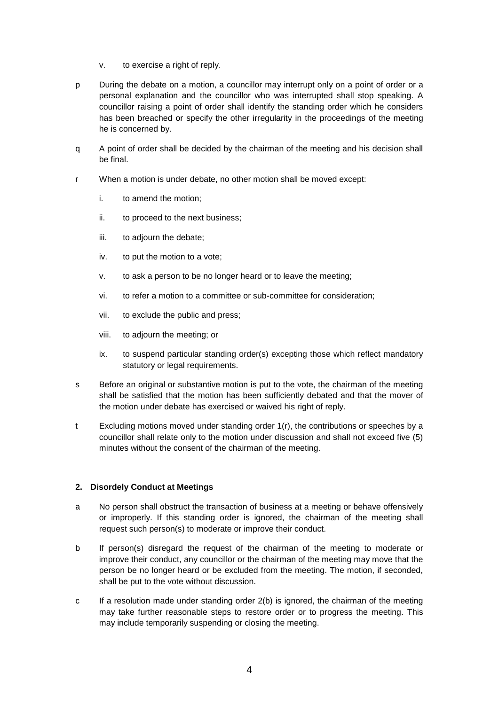- v. to exercise a right of reply.
- p During the debate on a motion, a councillor may interrupt only on a point of order or a personal explanation and the councillor who was interrupted shall stop speaking. A councillor raising a point of order shall identify the standing order which he considers has been breached or specify the other irregularity in the proceedings of the meeting he is concerned by.
- q A point of order shall be decided by the chairman of the meeting and his decision shall be final.
- r When a motion is under debate, no other motion shall be moved except:
	- i. to amend the motion;
	- ii. to proceed to the next business;
	- iii. to adjourn the debate;
	- iv. to put the motion to a vote;
	- v. to ask a person to be no longer heard or to leave the meeting;
	- vi. to refer a motion to a committee or sub-committee for consideration;
	- vii. to exclude the public and press;
	- viii. to adjourn the meeting; or
	- ix. to suspend particular standing order(s) excepting those which reflect mandatory statutory or legal requirements.
- s Before an original or substantive motion is put to the vote, the chairman of the meeting shall be satisfied that the motion has been sufficiently debated and that the mover of the motion under debate has exercised or waived his right of reply.
- t Excluding motions moved under standing order 1(r), the contributions or speeches by a councillor shall relate only to the motion under discussion and shall not exceed five (5) minutes without the consent of the chairman of the meeting.

# **2. Disordely Conduct at Meetings**

- a No person shall obstruct the transaction of business at a meeting or behave offensively or improperly. If this standing order is ignored, the chairman of the meeting shall request such person(s) to moderate or improve their conduct.
- b If person(s) disregard the request of the chairman of the meeting to moderate or improve their conduct, any councillor or the chairman of the meeting may move that the person be no longer heard or be excluded from the meeting. The motion, if seconded, shall be put to the vote without discussion.
- c If a resolution made under standing order 2(b) is ignored, the chairman of the meeting may take further reasonable steps to restore order or to progress the meeting. This may include temporarily suspending or closing the meeting.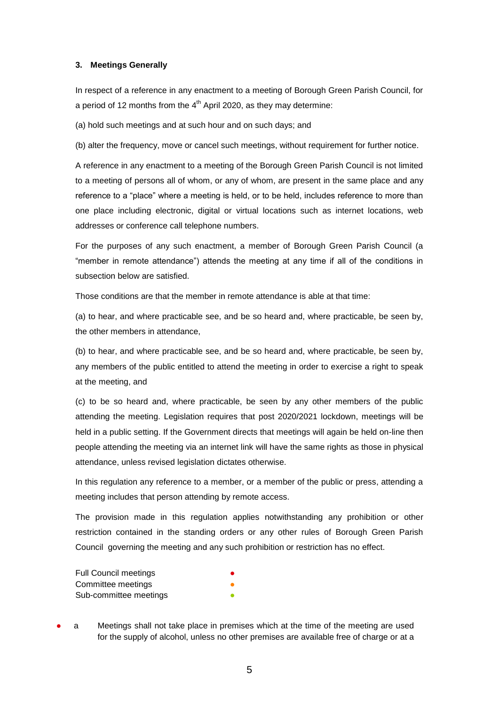#### **3. Meetings Generally**

In respect of a reference in any enactment to a meeting of Borough Green Parish Council, for a period of 12 months from the  $4<sup>th</sup>$  April 2020, as they may determine:

(a) hold such meetings and at such hour and on such days; and

(b) alter the frequency, move or cancel such meetings, without requirement for further notice.

A reference in any enactment to a meeting of the Borough Green Parish Council is not limited to a meeting of persons all of whom, or any of whom, are present in the same place and any reference to a "place" where a meeting is held, or to be held, includes reference to more than one place including electronic, digital or virtual locations such as internet locations, web addresses or conference call telephone numbers.

For the purposes of any such enactment, a member of Borough Green Parish Council (a "member in remote attendance") attends the meeting at any time if all of the conditions in subsection below are satisfied.

Those conditions are that the member in remote attendance is able at that time:

(a) to hear, and where practicable see, and be so heard and, where practicable, be seen by, the other members in attendance,

(b) to hear, and where practicable see, and be so heard and, where practicable, be seen by, any members of the public entitled to attend the meeting in order to exercise a right to speak at the meeting, and

(c) to be so heard and, where practicable, be seen by any other members of the public attending the meeting. Legislation requires that post 2020/2021 lockdown, meetings will be held in a public setting. If the Government directs that meetings will again be held on-line then people attending the meeting via an internet link will have the same rights as those in physical attendance, unless revised legislation dictates otherwise.

In this regulation any reference to a member, or a member of the public or press, attending a meeting includes that person attending by remote access.

The provision made in this regulation applies notwithstanding any prohibition or other restriction contained in the standing orders or any other rules of Borough Green Parish Council governing the meeting and any such prohibition or restriction has no effect.

| <b>Full Council meetings</b> |  |
|------------------------------|--|
| Committee meetings           |  |
| Sub-committee meetings       |  |

a Meetings shall not take place in premises which at the time of the meeting are used for the supply of alcohol, unless no other premises are available free of charge or at a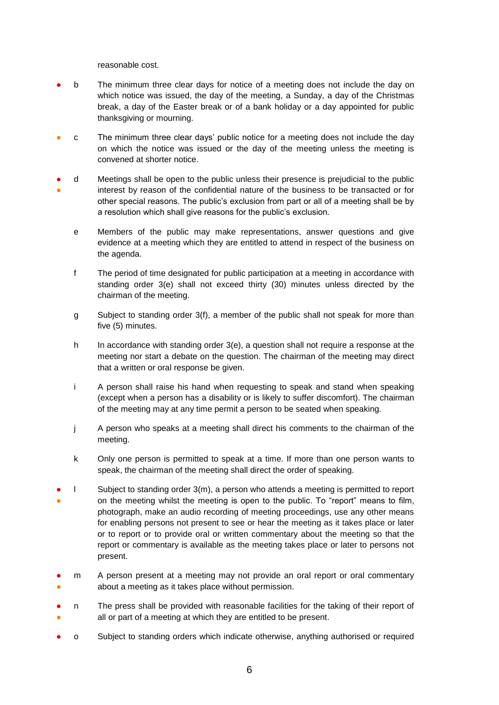reasonable cost.

- b The minimum three clear days for notice of a meeting does not include the day on which notice was issued, the day of the meeting, a Sunday, a day of the Christmas break, a day of the Easter break or of a bank holiday or a day appointed for public thanksgiving or mourning.
- c The minimum three clear days' public notice for a meeting does not include the day on which the notice was issued or the day of the meeting unless the meeting is convened at shorter notice.
- ● d Meetings shall be open to the public unless their presence is prejudicial to the public interest by reason of the confidential nature of the business to be transacted or for other special reasons. The public's exclusion from part or all of a meeting shall be by a resolution which shall give reasons for the public's exclusion.
	- e Members of the public may make representations, answer questions and give evidence at a meeting which they are entitled to attend in respect of the business on the agenda.
	- f The period of time designated for public participation at a meeting in accordance with standing order 3(e) shall not exceed thirty (30) minutes unless directed by the chairman of the meeting.
	- g Subject to standing order 3(f), a member of the public shall not speak for more than five (5) minutes.
	- h In accordance with standing order  $3(e)$ , a question shall not require a response at the meeting nor start a debate on the question. The chairman of the meeting may direct that a written or oral response be given.
	- i A person shall raise his hand when requesting to speak and stand when speaking (except when a person has a disability or is likely to suffer discomfort). The chairman of the meeting may at any time permit a person to be seated when speaking.
	- j A person who speaks at a meeting shall direct his comments to the chairman of the meeting.
	- k Only one person is permitted to speak at a time. If more than one person wants to speak, the chairman of the meeting shall direct the order of speaking.
- ● l Subject to standing order 3(m), a person who attends a meeting is permitted to report on the meeting whilst the meeting is open to the public. To "report" means to film, photograph, make an audio recording of meeting proceedings, use any other means for enabling persons not present to see or hear the meeting as it takes place or later or to report or to provide oral or written commentary about the meeting so that the report or commentary is available as the meeting takes place or later to persons not present.
- ● m A person present at a meeting may not provide an oral report or oral commentary about a meeting as it takes place without permission.
- ● n The press shall be provided with reasonable facilities for the taking of their report of all or part of a meeting at which they are entitled to be present.
- o Subject to standing orders which indicate otherwise, anything authorised or required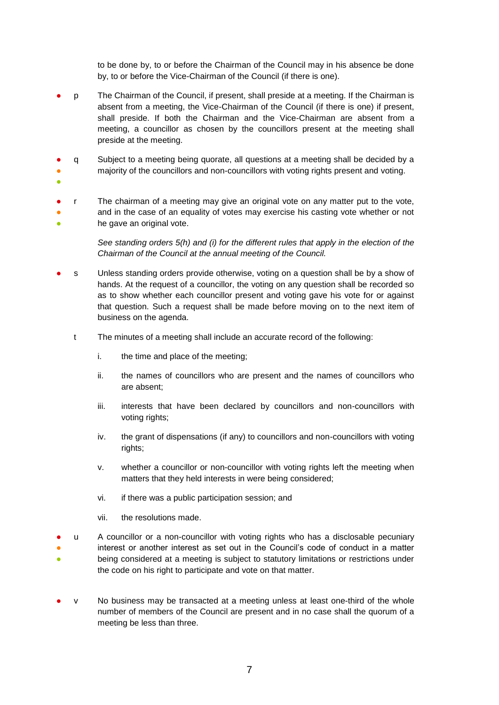to be done by, to or before the Chairman of the Council may in his absence be done by, to or before the Vice-Chairman of the Council (if there is one).

- p The Chairman of the Council, if present, shall preside at a meeting. If the Chairman is absent from a meeting, the Vice-Chairman of the Council (if there is one) if present, shall preside. If both the Chairman and the Vice-Chairman are absent from a meeting, a councillor as chosen by the councillors present at the meeting shall preside at the meeting.
- ● q Subject to a meeting being quorate, all questions at a meeting shall be decided by a majority of the councillors and non-councillors with voting rights present and voting.
- ●
- ● ● r The chairman of a meeting may give an original vote on any matter put to the vote, and in the case of an equality of votes may exercise his casting vote whether or not he gave an original vote.

*See standing orders 5(h) and (i) for the different rules that apply in the election of the Chairman of the Council at the annual meeting of the Council.*

- s Unless standing orders provide otherwise, voting on a question shall be by a show of hands. At the request of a councillor, the voting on any question shall be recorded so as to show whether each councillor present and voting gave his vote for or against that question. Such a request shall be made before moving on to the next item of business on the agenda.
	- t The minutes of a meeting shall include an accurate record of the following:
		- i. the time and place of the meeting;
		- ii. the names of councillors who are present and the names of councillors who are absent;
		- iii. interests that have been declared by councillors and non-councillors with voting rights;
		- iv. the grant of dispensations (if any) to councillors and non-councillors with voting rights:
		- v. whether a councillor or non-councillor with voting rights left the meeting when matters that they held interests in were being considered;
		- vi. if there was a public participation session; and
		- vii. the resolutions made.
- ● ● u A councillor or a non-councillor with voting rights who has a disclosable pecuniary interest or another interest as set out in the Council's code of conduct in a matter being considered at a meeting is subject to statutory limitations or restrictions under the code on his right to participate and vote on that matter.
- v No business may be transacted at a meeting unless at least one-third of the whole number of members of the Council are present and in no case shall the quorum of a meeting be less than three.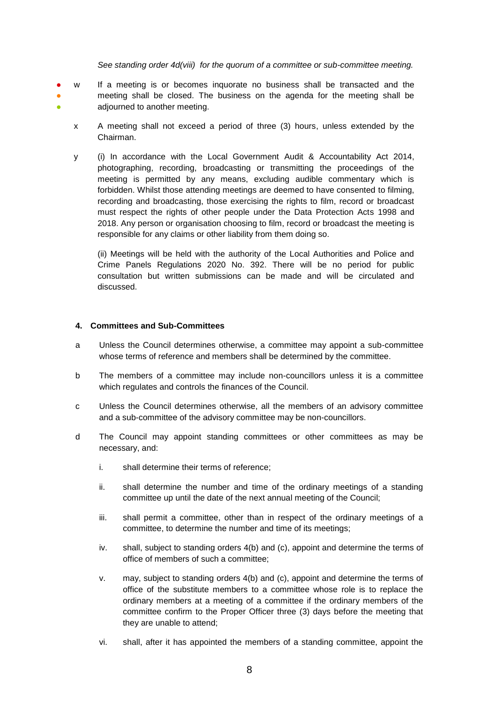#### *See standing order 4d(viii) for the quorum of a committee or sub-committee meeting.*

- ● ● w If a meeting is or becomes inquorate no business shall be transacted and the meeting shall be closed. The business on the agenda for the meeting shall be adjourned to another meeting.
	- x A meeting shall not exceed a period of three (3) hours, unless extended by the Chairman.
	- y (i) In accordance with the Local Government Audit & Accountability Act 2014, photographing, recording, broadcasting or transmitting the proceedings of the meeting is permitted by any means, excluding audible commentary which is forbidden. Whilst those attending meetings are deemed to have consented to filming, recording and broadcasting, those exercising the rights to film, record or broadcast must respect the rights of other people under the Data Protection Acts 1998 and 2018. Any person or organisation choosing to film, record or broadcast the meeting is responsible for any claims or other liability from them doing so.

(ii) Meetings will be held with the authority of the Local Authorities and Police and Crime Panels Regulations 2020 No. 392. There will be no period for public consultation but written submissions can be made and will be circulated and discussed.

#### **4. Committees and Sub-Committees**

- a Unless the Council determines otherwise, a committee may appoint a sub-committee whose terms of reference and members shall be determined by the committee.
- b The members of a committee may include non-councillors unless it is a committee which regulates and controls the finances of the Council.
- c Unless the Council determines otherwise, all the members of an advisory committee and a sub-committee of the advisory committee may be non-councillors.
- d The Council may appoint standing committees or other committees as may be necessary, and:
	- i. shall determine their terms of reference;
	- ii. shall determine the number and time of the ordinary meetings of a standing committee up until the date of the next annual meeting of the Council;
	- iii. shall permit a committee, other than in respect of the ordinary meetings of a committee, to determine the number and time of its meetings;
	- iv. shall, subject to standing orders 4(b) and (c), appoint and determine the terms of office of members of such a committee;
	- v. may, subject to standing orders 4(b) and (c), appoint and determine the terms of office of the substitute members to a committee whose role is to replace the ordinary members at a meeting of a committee if the ordinary members of the committee confirm to the Proper Officer three (3) days before the meeting that they are unable to attend;
	- vi. shall, after it has appointed the members of a standing committee, appoint the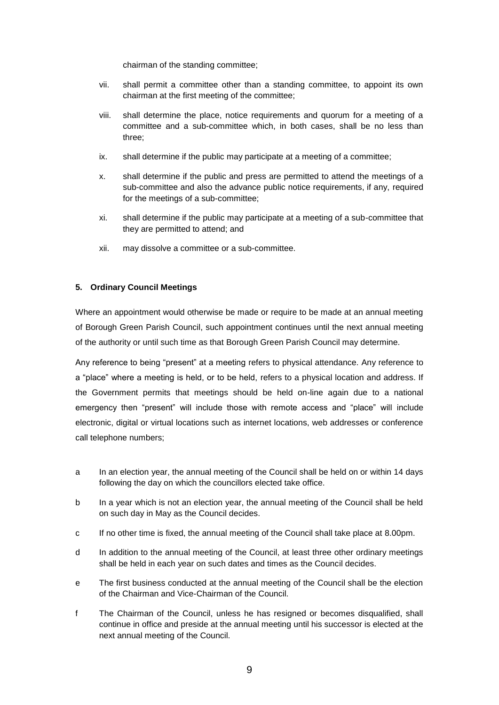chairman of the standing committee;

- vii. shall permit a committee other than a standing committee, to appoint its own chairman at the first meeting of the committee;
- viii. shall determine the place, notice requirements and quorum for a meeting of a committee and a sub-committee which, in both cases, shall be no less than three;
- ix. shall determine if the public may participate at a meeting of a committee;
- x. shall determine if the public and press are permitted to attend the meetings of a sub-committee and also the advance public notice requirements, if any, required for the meetings of a sub-committee;
- xi. shall determine if the public may participate at a meeting of a sub-committee that they are permitted to attend; and
- xii. may dissolve a committee or a sub-committee.

# **5. Ordinary Council Meetings**

Where an appointment would otherwise be made or require to be made at an annual meeting of Borough Green Parish Council, such appointment continues until the next annual meeting of the authority or until such time as that Borough Green Parish Council may determine.

Any reference to being "present" at a meeting refers to physical attendance. Any reference to a "place" where a meeting is held, or to be held, refers to a physical location and address. If the Government permits that meetings should be held on-line again due to a national emergency then "present" will include those with remote access and "place" will include electronic, digital or virtual locations such as internet locations, web addresses or conference call telephone numbers;

- a In an election year, the annual meeting of the Council shall be held on or within 14 days following the day on which the councillors elected take office.
- b In a year which is not an election year, the annual meeting of the Council shall be held on such day in May as the Council decides.
- c If no other time is fixed, the annual meeting of the Council shall take place at 8.00pm.
- d In addition to the annual meeting of the Council, at least three other ordinary meetings shall be held in each year on such dates and times as the Council decides.
- e The first business conducted at the annual meeting of the Council shall be the election of the Chairman and Vice-Chairman of the Council.
- f The Chairman of the Council, unless he has resigned or becomes disqualified, shall continue in office and preside at the annual meeting until his successor is elected at the next annual meeting of the Council.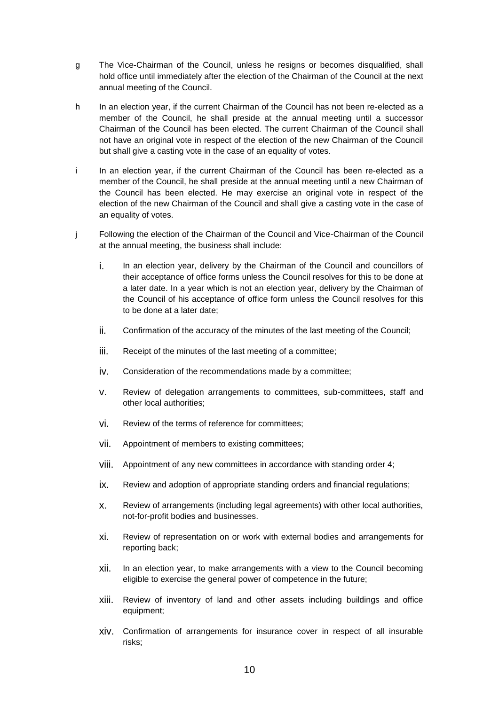- g The Vice-Chairman of the Council, unless he resigns or becomes disqualified, shall hold office until immediately after the election of the Chairman of the Council at the next annual meeting of the Council.
- h In an election year, if the current Chairman of the Council has not been re-elected as a member of the Council, he shall preside at the annual meeting until a successor Chairman of the Council has been elected. The current Chairman of the Council shall not have an original vote in respect of the election of the new Chairman of the Council but shall give a casting vote in the case of an equality of votes.
- i In an election year, if the current Chairman of the Council has been re-elected as a member of the Council, he shall preside at the annual meeting until a new Chairman of the Council has been elected. He may exercise an original vote in respect of the election of the new Chairman of the Council and shall give a casting vote in the case of an equality of votes.
- j Following the election of the Chairman of the Council and Vice-Chairman of the Council at the annual meeting, the business shall include:
	- i. In an election year, delivery by the Chairman of the Council and councillors of their acceptance of office forms unless the Council resolves for this to be done at a later date. In a year which is not an election year, delivery by the Chairman of the Council of his acceptance of office form unless the Council resolves for this to be done at a later date;
	- ii. Confirmation of the accuracy of the minutes of the last meeting of the Council;
	- iii. Receipt of the minutes of the last meeting of a committee;
	- iv. Consideration of the recommendations made by a committee;
	- v. Review of delegation arrangements to committees, sub-committees, staff and other local authorities;
	- vi. Review of the terms of reference for committees;
	- vii. Appointment of members to existing committees;
	- viii. Appointment of any new committees in accordance with standing order 4;
	- ix. Review and adoption of appropriate standing orders and financial regulations;
	- x. Review of arrangements (including legal agreements) with other local authorities, not-for-profit bodies and businesses.
	- xi. Review of representation on or work with external bodies and arrangements for reporting back;
	- xii. In an election year, to make arrangements with a view to the Council becoming eligible to exercise the general power of competence in the future;
	- xiii. Review of inventory of land and other assets including buildings and office equipment;
	- xiv. Confirmation of arrangements for insurance cover in respect of all insurable risks;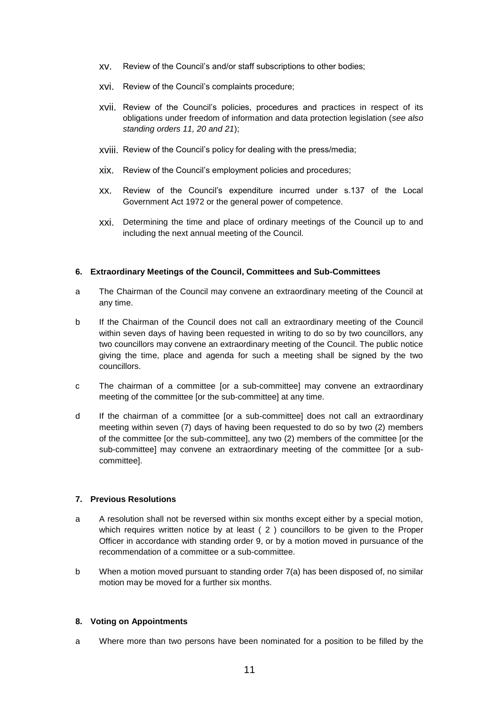- xv. Review of the Council's and/or staff subscriptions to other bodies;
- xvi. Review of the Council's complaints procedure;
- xvii. Review of the Council's policies, procedures and practices in respect of its obligations under freedom of information and data protection legislation (*see also standing orders 11, 20 and 21*);
- xviii. Review of the Council's policy for dealing with the press/media;
- xix. Review of the Council's employment policies and procedures;
- xx. Review of the Council's expenditure incurred under s.137 of the Local Government Act 1972 or the general power of competence.
- xxi. Determining the time and place of ordinary meetings of the Council up to and including the next annual meeting of the Council.

#### **6. Extraordinary Meetings of the Council, Committees and Sub-Committees**

- a The Chairman of the Council may convene an extraordinary meeting of the Council at any time.
- b If the Chairman of the Council does not call an extraordinary meeting of the Council within seven days of having been requested in writing to do so by two councillors, any two councillors may convene an extraordinary meeting of the Council. The public notice giving the time, place and agenda for such a meeting shall be signed by the two councillors.
- c The chairman of a committee [or a sub-committee] may convene an extraordinary meeting of the committee [or the sub-committee] at any time.
- d If the chairman of a committee [or a sub-committee] does not call an extraordinary meeting within seven (7) days of having been requested to do so by two (2) members of the committee [or the sub-committee], any two (2) members of the committee [or the sub-committee] may convene an extraordinary meeting of the committee [or a subcommittee].

#### **7. Previous Resolutions**

- a A resolution shall not be reversed within six months except either by a special motion, which requires written notice by at least ( 2 ) councillors to be given to the Proper Officer in accordance with standing order 9, or by a motion moved in pursuance of the recommendation of a committee or a sub-committee.
- b When a motion moved pursuant to standing order 7(a) has been disposed of, no similar motion may be moved for a further six months.

#### **8. Voting on Appointments**

a Where more than two persons have been nominated for a position to be filled by the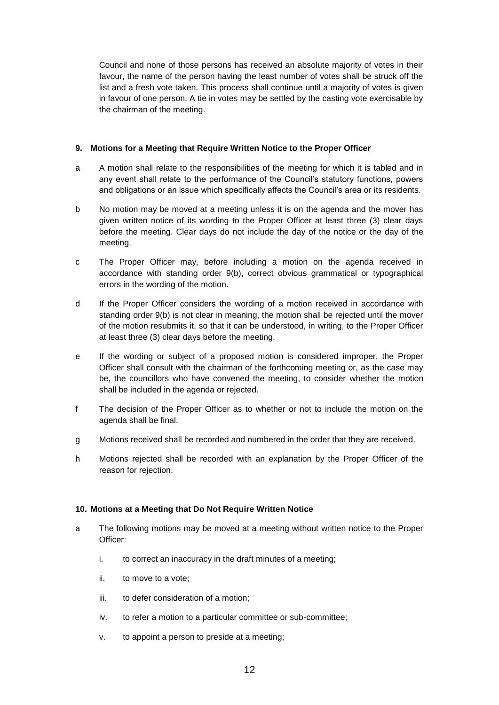Council and none of those persons has received an absolute majority of votes in their favour, the name of the person having the least number of votes shall be struck off the list and a fresh vote taken. This process shall continue until a majority of votes is given in favour of one person. A tie in votes may be settled by the casting vote exercisable by the chairman of the meeting.

# **9. Motions for a Meeting that Require Written Notice to the Proper Officer**

- a A motion shall relate to the responsibilities of the meeting for which it is tabled and in any event shall relate to the performance of the Council's statutory functions, powers and obligations or an issue which specifically affects the Council's area or its residents.
- b No motion may be moved at a meeting unless it is on the agenda and the mover has given written notice of its wording to the Proper Officer at least three (3) clear days before the meeting. Clear days do not include the day of the notice or the day of the meeting.
- c The Proper Officer may, before including a motion on the agenda received in accordance with standing order 9(b), correct obvious grammatical or typographical errors in the wording of the motion.
- d If the Proper Officer considers the wording of a motion received in accordance with standing order 9(b) is not clear in meaning, the motion shall be rejected until the mover of the motion resubmits it, so that it can be understood, in writing, to the Proper Officer at least three (3) clear days before the meeting.
- e If the wording or subject of a proposed motion is considered improper, the Proper Officer shall consult with the chairman of the forthcoming meeting or, as the case may be, the councillors who have convened the meeting, to consider whether the motion shall be included in the agenda or rejected.
- f The decision of the Proper Officer as to whether or not to include the motion on the agenda shall be final.
- g Motions received shall be recorded and numbered in the order that they are received.
- h Motions rejected shall be recorded with an explanation by the Proper Officer of the reason for rejection.

# **10. Motions at a Meeting that Do Not Require Written Notice**

- a The following motions may be moved at a meeting without written notice to the Proper Officer:
	- i. to correct an inaccuracy in the draft minutes of a meeting;
	- ii. to move to a vote;
	- iii. to defer consideration of a motion;
	- iv. to refer a motion to a particular committee or sub-committee;
	- v. to appoint a person to preside at a meeting;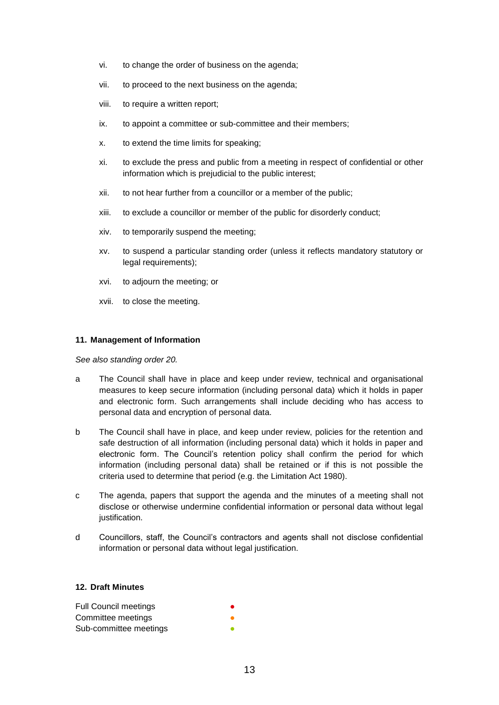- vi. to change the order of business on the agenda;
- vii. to proceed to the next business on the agenda;
- viii. to require a written report;
- ix. to appoint a committee or sub-committee and their members;
- x. to extend the time limits for speaking;
- xi. to exclude the press and public from a meeting in respect of confidential or other information which is prejudicial to the public interest;
- xii. to not hear further from a councillor or a member of the public;
- xiii. to exclude a councillor or member of the public for disorderly conduct;
- xiv. to temporarily suspend the meeting;
- xv. to suspend a particular standing order (unless it reflects mandatory statutory or legal requirements);
- xvi. to adjourn the meeting; or
- xvii. to close the meeting.

#### **11. Management of Information**

*See also standing order 20.*

- a The Council shall have in place and keep under review, technical and organisational measures to keep secure information (including personal data) which it holds in paper and electronic form. Such arrangements shall include deciding who has access to personal data and encryption of personal data.
- b The Council shall have in place, and keep under review, policies for the retention and safe destruction of all information (including personal data) which it holds in paper and electronic form. The Council's retention policy shall confirm the period for which information (including personal data) shall be retained or if this is not possible the criteria used to determine that period (e.g. the Limitation Act 1980).
- c The agenda, papers that support the agenda and the minutes of a meeting shall not disclose or otherwise undermine confidential information or personal data without legal justification.
- d Councillors, staff, the Council's contractors and agents shall not disclose confidential information or personal data without legal justification.

#### **12. Draft Minutes**

| <b>Full Council meetings</b> |  |
|------------------------------|--|
| Committee meetings           |  |
| Sub-committee meetings       |  |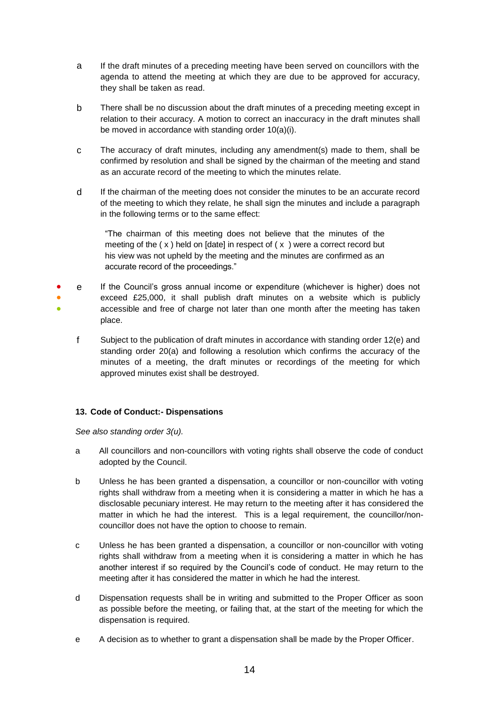- a If the draft minutes of a preceding meeting have been served on councillors with the agenda to attend the meeting at which they are due to be approved for accuracy, they shall be taken as read.
- b There shall be no discussion about the draft minutes of a preceding meeting except in relation to their accuracy. A motion to correct an inaccuracy in the draft minutes shall be moved in accordance with standing order 10(a)(i).
- c The accuracy of draft minutes, including any amendment(s) made to them, shall be confirmed by resolution and shall be signed by the chairman of the meeting and stand as an accurate record of the meeting to which the minutes relate.
- d If the chairman of the meeting does not consider the minutes to be an accurate record of the meeting to which they relate, he shall sign the minutes and include a paragraph in the following terms or to the same effect:

"The chairman of this meeting does not believe that the minutes of the meeting of the  $(x)$  held on [date] in respect of  $(x)$  were a correct record but his view was not upheld by the meeting and the minutes are confirmed as an accurate record of the proceedings."

- ● ● e If the Council's gross annual income or expenditure (whichever is higher) does not exceed £25,000, it shall publish draft minutes on a website which is publicly accessible and free of charge not later than one month after the meeting has taken place.
	- f Subject to the publication of draft minutes in accordance with standing order 12(e) and standing order 20(a) and following a resolution which confirms the accuracy of the minutes of a meeting, the draft minutes or recordings of the meeting for which approved minutes exist shall be destroyed.

# **13. Code of Conduct:- Dispensations**

*See also standing order 3(u).* 

- a All councillors and non-councillors with voting rights shall observe the code of conduct adopted by the Council.
- b Unless he has been granted a dispensation, a councillor or non-councillor with voting rights shall withdraw from a meeting when it is considering a matter in which he has a disclosable pecuniary interest. He may return to the meeting after it has considered the matter in which he had the interest. This is a legal requirement, the councillor/noncouncillor does not have the option to choose to remain.
- c Unless he has been granted a dispensation, a councillor or non-councillor with voting rights shall withdraw from a meeting when it is considering a matter in which he has another interest if so required by the Council's code of conduct. He may return to the meeting after it has considered the matter in which he had the interest.
- d Dispensation requests shall be in writing and submitted to the Proper Officer as soon as possible before the meeting, or failing that, at the start of the meeting for which the dispensation is required.
- e A decision as to whether to grant a dispensation shall be made by the Proper Officer.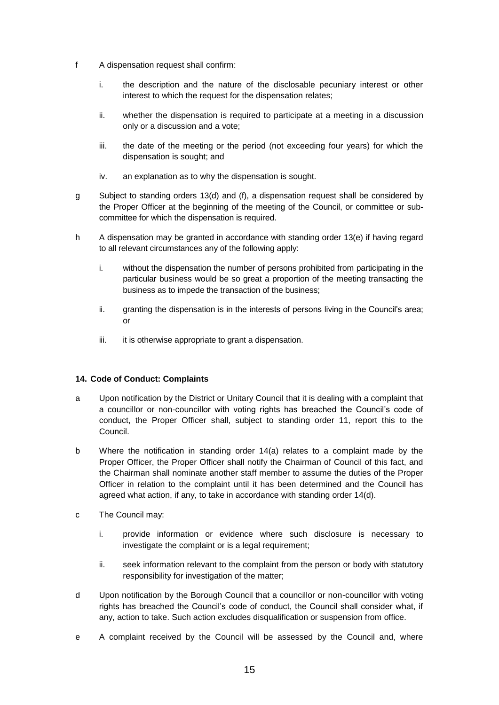- f A dispensation request shall confirm:
	- i. the description and the nature of the disclosable pecuniary interest or other interest to which the request for the dispensation relates;
	- ii. whether the dispensation is required to participate at a meeting in a discussion only or a discussion and a vote;
	- iii. the date of the meeting or the period (not exceeding four years) for which the dispensation is sought; and
	- iv. an explanation as to why the dispensation is sought.
- g Subject to standing orders 13(d) and (f), a dispensation request shall be considered by the Proper Officer at the beginning of the meeting of the Council, or committee or subcommittee for which the dispensation is required.
- h A dispensation may be granted in accordance with standing order 13(e) if having regard to all relevant circumstances any of the following apply:
	- i. without the dispensation the number of persons prohibited from participating in the particular business would be so great a proportion of the meeting transacting the business as to impede the transaction of the business;
	- ii. granting the dispensation is in the interests of persons living in the Council's area; or
	- iii. it is otherwise appropriate to grant a dispensation.

# **14. Code of Conduct: Complaints**

- a Upon notification by the District or Unitary Council that it is dealing with a complaint that a councillor or non-councillor with voting rights has breached the Council's code of conduct, the Proper Officer shall, subject to standing order 11, report this to the Council.
- b Where the notification in standing order 14(a) relates to a complaint made by the Proper Officer, the Proper Officer shall notify the Chairman of Council of this fact, and the Chairman shall nominate another staff member to assume the duties of the Proper Officer in relation to the complaint until it has been determined and the Council has agreed what action, if any, to take in accordance with standing order 14(d).
- c The Council may:
	- i. provide information or evidence where such disclosure is necessary to investigate the complaint or is a legal requirement;
	- ii. seek information relevant to the complaint from the person or body with statutory responsibility for investigation of the matter;
- d Upon notification by the Borough Council that a councillor or non-councillor with voting rights has breached the Council's code of conduct, the Council shall consider what, if any, action to take. Such action excludes disqualification or suspension from office.
- e A complaint received by the Council will be assessed by the Council and, where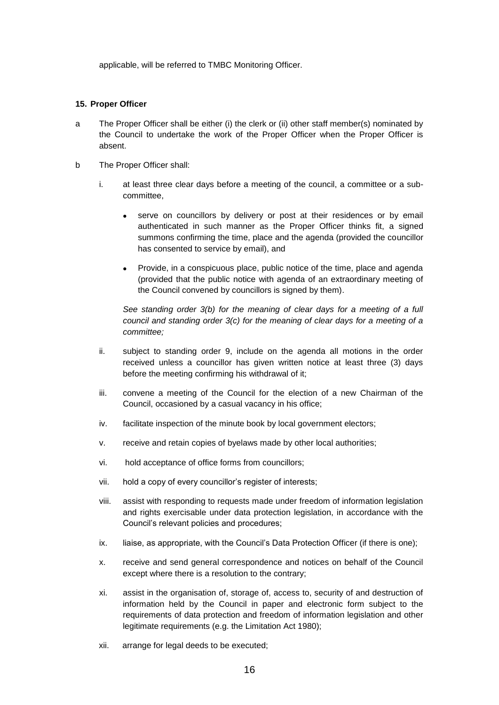applicable, will be referred to TMBC Monitoring Officer.

### **15. Proper Officer**

- a The Proper Officer shall be either (i) the clerk or (ii) other staff member(s) nominated by the Council to undertake the work of the Proper Officer when the Proper Officer is absent.
- b The Proper Officer shall:
	- i. at least three clear days before a meeting of the council, a committee or a subcommittee,
		- serve on councillors by delivery or post at their residences or by email authenticated in such manner as the Proper Officer thinks fit, a signed summons confirming the time, place and the agenda (provided the councillor has consented to service by email), and
		- Provide, in a conspicuous place, public notice of the time, place and agenda (provided that the public notice with agenda of an extraordinary meeting of the Council convened by councillors is signed by them).

*See standing order 3(b) for the meaning of clear days for a meeting of a full council and standing order 3(c) for the meaning of clear days for a meeting of a committee;*

- ii. subject to standing order 9, include on the agenda all motions in the order received unless a councillor has given written notice at least three (3) days before the meeting confirming his withdrawal of it;
- iii. convene a meeting of the Council for the election of a new Chairman of the Council, occasioned by a casual vacancy in his office;
- iv. facilitate inspection of the minute book by local government electors;
- v. receive and retain copies of byelaws made by other local authorities;
- vi. hold acceptance of office forms from councillors;
- vii. hold a copy of every councillor's register of interests;
- viii. assist with responding to requests made under freedom of information legislation and rights exercisable under data protection legislation, in accordance with the Council's relevant policies and procedures;
- ix. liaise, as appropriate, with the Council's Data Protection Officer (if there is one);
- x. receive and send general correspondence and notices on behalf of the Council except where there is a resolution to the contrary;
- xi. assist in the organisation of, storage of, access to, security of and destruction of information held by the Council in paper and electronic form subject to the requirements of data protection and freedom of information legislation and other legitimate requirements (e.g. the Limitation Act 1980);
- xii. arrange for legal deeds to be executed;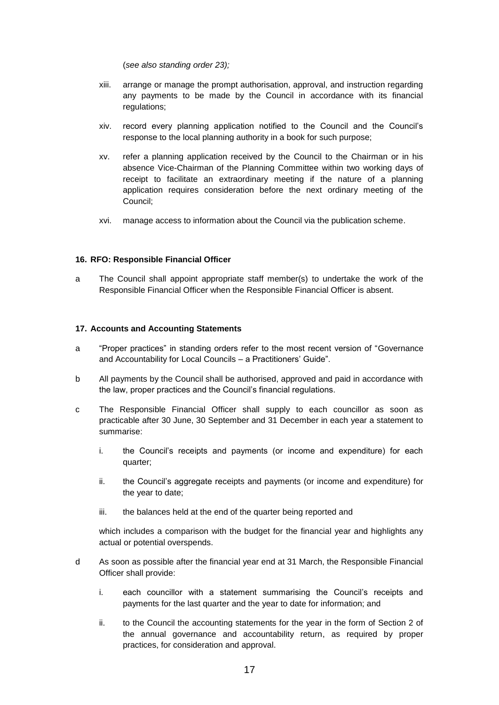(*see also standing order 23);*

- xiii. arrange or manage the prompt authorisation, approval, and instruction regarding any payments to be made by the Council in accordance with its financial regulations;
- xiv. record every planning application notified to the Council and the Council's response to the local planning authority in a book for such purpose;
- xv. refer a planning application received by the Council to the Chairman or in his absence Vice-Chairman of the Planning Committee within two working days of receipt to facilitate an extraordinary meeting if the nature of a planning application requires consideration before the next ordinary meeting of the Council;
- xvi. manage access to information about the Council via the publication scheme.

# **16. RFO: Responsible Financial Officer**

a The Council shall appoint appropriate staff member(s) to undertake the work of the Responsible Financial Officer when the Responsible Financial Officer is absent.

# **17. Accounts and Accounting Statements**

- a "Proper practices" in standing orders refer to the most recent version of "Governance and Accountability for Local Councils – a Practitioners' Guide".
- b All payments by the Council shall be authorised, approved and paid in accordance with the law, proper practices and the Council's financial regulations.
- c The Responsible Financial Officer shall supply to each councillor as soon as practicable after 30 June, 30 September and 31 December in each year a statement to summarise:
	- i. the Council's receipts and payments (or income and expenditure) for each quarter;
	- ii. the Council's aggregate receipts and payments (or income and expenditure) for the year to date;
	- iii. the balances held at the end of the quarter being reported and

which includes a comparison with the budget for the financial year and highlights any actual or potential overspends.

- d As soon as possible after the financial year end at 31 March, the Responsible Financial Officer shall provide:
	- i. each councillor with a statement summarising the Council's receipts and payments for the last quarter and the year to date for information; and
	- ii. to the Council the accounting statements for the year in the form of Section 2 of the annual governance and accountability return, as required by proper practices, for consideration and approval.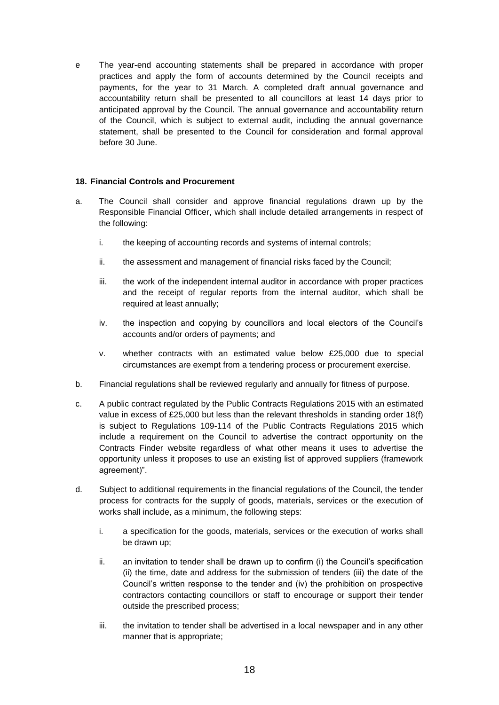e The year-end accounting statements shall be prepared in accordance with proper practices and apply the form of accounts determined by the Council receipts and payments, for the year to 31 March. A completed draft annual governance and accountability return shall be presented to all councillors at least 14 days prior to anticipated approval by the Council. The annual governance and accountability return of the Council, which is subject to external audit, including the annual governance statement, shall be presented to the Council for consideration and formal approval before 30 June.

# **18. Financial Controls and Procurement**

- a. The Council shall consider and approve financial regulations drawn up by the Responsible Financial Officer, which shall include detailed arrangements in respect of the following:
	- i. the keeping of accounting records and systems of internal controls;
	- ii. the assessment and management of financial risks faced by the Council;
	- iii. the work of the independent internal auditor in accordance with proper practices and the receipt of regular reports from the internal auditor, which shall be required at least annually;
	- iv. the inspection and copying by councillors and local electors of the Council's accounts and/or orders of payments; and
	- v. whether contracts with an estimated value below £25,000 due to special circumstances are exempt from a tendering process or procurement exercise.
- b. Financial regulations shall be reviewed regularly and annually for fitness of purpose.
- c. A public contract regulated by the Public Contracts Regulations 2015 with an estimated value in excess of £25,000 but less than the relevant thresholds in standing order 18(f) is subject to Regulations 109-114 of the Public Contracts Regulations 2015 which include a requirement on the Council to advertise the contract opportunity on the Contracts Finder website regardless of what other means it uses to advertise the opportunity unless it proposes to use an existing list of approved suppliers (framework agreement)".
- d. Subject to additional requirements in the financial regulations of the Council, the tender process for contracts for the supply of goods, materials, services or the execution of works shall include, as a minimum, the following steps:
	- i. a specification for the goods, materials, services or the execution of works shall be drawn up;
	- ii. an invitation to tender shall be drawn up to confirm (i) the Council's specification (ii) the time, date and address for the submission of tenders (iii) the date of the Council's written response to the tender and (iv) the prohibition on prospective contractors contacting councillors or staff to encourage or support their tender outside the prescribed process;
	- iii. the invitation to tender shall be advertised in a local newspaper and in any other manner that is appropriate;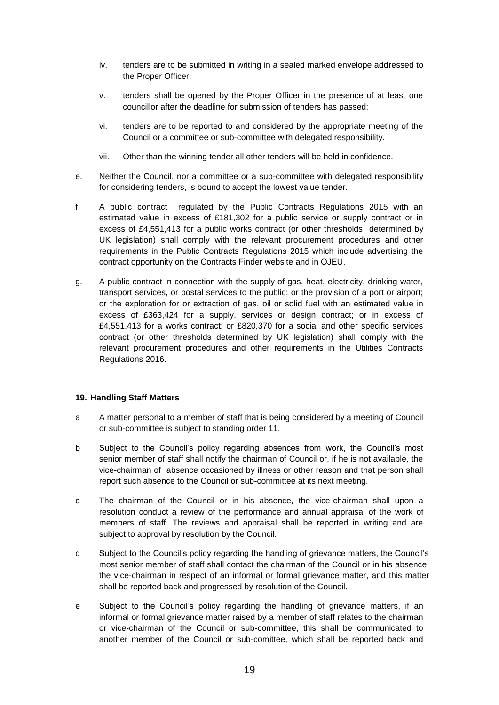- iv. tenders are to be submitted in writing in a sealed marked envelope addressed to the Proper Officer;
- v. tenders shall be opened by the Proper Officer in the presence of at least one councillor after the deadline for submission of tenders has passed;
- vi. tenders are to be reported to and considered by the appropriate meeting of the Council or a committee or sub-committee with delegated responsibility.
- vii. Other than the winning tender all other tenders will be held in confidence.
- e. Neither the Council, nor a committee or a sub-committee with delegated responsibility for considering tenders, is bound to accept the lowest value tender.
- f. A public contract regulated by the Public Contracts Regulations 2015 with an estimated value in excess of £181,302 for a public service or supply contract or in excess of £4,551,413 for a public works contract (or other thresholds determined by UK legislation) shall comply with the relevant procurement procedures and other requirements in the Public Contracts Regulations 2015 which include advertising the contract opportunity on the Contracts Finder website and in OJEU.
- g. A public contract in connection with the supply of gas, heat, electricity, drinking water, transport services, or postal services to the public; or the provision of a port or airport; or the exploration for or extraction of gas, oil or solid fuel with an estimated value in excess of £363,424 for a supply, services or design contract; or in excess of £4,551,413 for a works contract; or £820,370 for a social and other specific services contract (or other thresholds determined by UK legislation) shall comply with the relevant procurement procedures and other requirements in the Utilities Contracts Regulations 2016.

# **19. Handling Staff Matters**

- a A matter personal to a member of staff that is being considered by a meeting of Council or sub-committee is subject to standing order 11.
- b Subject to the Council's policy regarding absences from work, the Council's most senior member of staff shall notify the chairman of Council or, if he is not available, the vice-chairman of absence occasioned by illness or other reason and that person shall report such absence to the Council or sub-committee at its next meeting.
- c The chairman of the Council or in his absence, the vice-chairman shall upon a resolution conduct a review of the performance and annual appraisal of the work of members of staff. The reviews and appraisal shall be reported in writing and are subject to approval by resolution by the Council.
- d Subject to the Council's policy regarding the handling of grievance matters, the Council's most senior member of staff shall contact the chairman of the Council or in his absence, the vice-chairman in respect of an informal or formal grievance matter, and this matter shall be reported back and progressed by resolution of the Council.
- e Subject to the Council's policy regarding the handling of grievance matters, if an informal or formal grievance matter raised by a member of staff relates to the chairman or vice-chairman of the Council or sub-committee, this shall be communicated to another member of the Council or sub-comittee, which shall be reported back and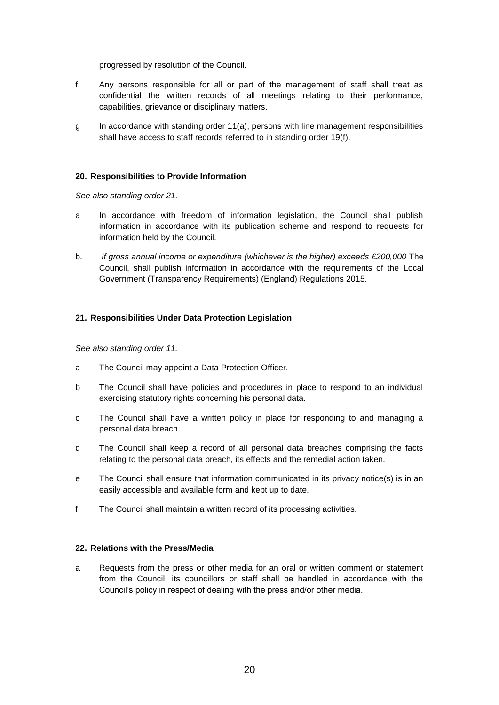progressed by resolution of the Council.

- f Any persons responsible for all or part of the management of staff shall treat as confidential the written records of all meetings relating to their performance, capabilities, grievance or disciplinary matters.
- g In accordance with standing order 11(a), persons with line management responsibilities shall have access to staff records referred to in standing order 19(f).

#### **20. Responsibilities to Provide Information**

*See also standing order 21.*

- a In accordance with freedom of information legislation, the Council shall publish information in accordance with its publication scheme and respond to requests for information held by the Council.
- b. *If gross annual income or expenditure (whichever is the higher) exceeds £200,000* The Council, shall publish information in accordance with the requirements of the Local Government (Transparency Requirements) (England) Regulations 2015.

#### **21. Responsibilities Under Data Protection Legislation**

*See also standing order 11.*

- a The Council may appoint a Data Protection Officer.
- b The Council shall have policies and procedures in place to respond to an individual exercising statutory rights concerning his personal data.
- c The Council shall have a written policy in place for responding to and managing a personal data breach.
- d The Council shall keep a record of all personal data breaches comprising the facts relating to the personal data breach, its effects and the remedial action taken.
- e The Council shall ensure that information communicated in its privacy notice(s) is in an easily accessible and available form and kept up to date.
- f The Council shall maintain a written record of its processing activities.

### **22. Relations with the Press/Media**

a Requests from the press or other media for an oral or written comment or statement from the Council, its councillors or staff shall be handled in accordance with the Council's policy in respect of dealing with the press and/or other media.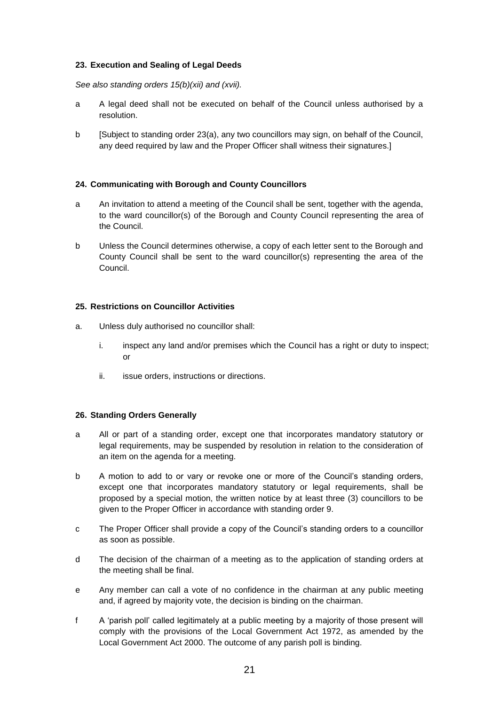# **23. Execution and Sealing of Legal Deeds**

#### *See also standing orders 15(b)(xii) and (xvii).*

- a A legal deed shall not be executed on behalf of the Council unless authorised by a resolution.
- b [Subject to standing order 23(a), any two councillors may sign, on behalf of the Council, any deed required by law and the Proper Officer shall witness their signatures.]

# **24. Communicating with Borough and County Councillors**

- a An invitation to attend a meeting of the Council shall be sent, together with the agenda, to the ward councillor(s) of the Borough and County Council representing the area of the Council.
- b Unless the Council determines otherwise, a copy of each letter sent to the Borough and County Council shall be sent to the ward councillor(s) representing the area of the Council.

#### **25. Restrictions on Councillor Activities**

- a. Unless duly authorised no councillor shall:
	- i. inspect any land and/or premises which the Council has a right or duty to inspect; or
	- ii. issue orders, instructions or directions.

# **26. Standing Orders Generally**

- a All or part of a standing order, except one that incorporates mandatory statutory or legal requirements, may be suspended by resolution in relation to the consideration of an item on the agenda for a meeting.
- b A motion to add to or vary or revoke one or more of the Council's standing orders, except one that incorporates mandatory statutory or legal requirements, shall be proposed by a special motion, the written notice by at least three (3) councillors to be given to the Proper Officer in accordance with standing order 9.
- c The Proper Officer shall provide a copy of the Council's standing orders to a councillor as soon as possible.
- d The decision of the chairman of a meeting as to the application of standing orders at the meeting shall be final.
- e Any member can call a vote of no confidence in the chairman at any public meeting and, if agreed by majority vote, the decision is binding on the chairman.
- f A 'parish poll' called legitimately at a public meeting by a majority of those present will comply with the provisions of the Local Government Act 1972, as amended by the Local Government Act 2000. The outcome of any parish poll is binding.